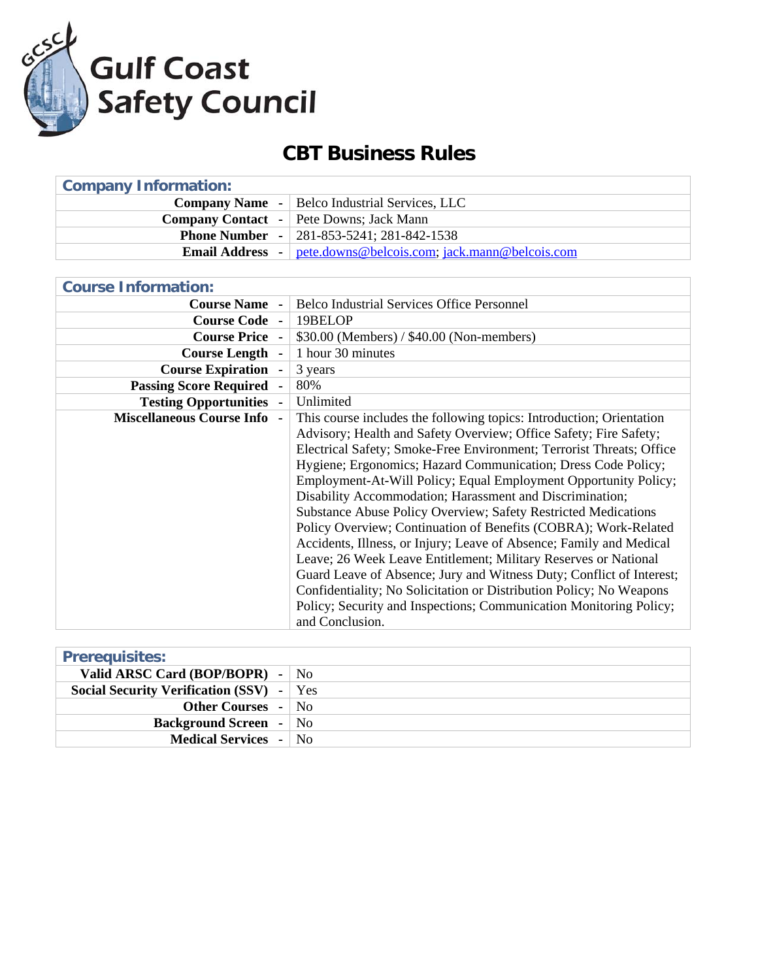

## **CBT Business Rules**

| <b>Company Information:</b> |                                                                      |
|-----------------------------|----------------------------------------------------------------------|
|                             | <b>Company Name</b> -   Belco Industrial Services, LLC               |
|                             | <b>Company Contact</b> - Pete Downs; Jack Mann                       |
|                             | <b>Phone Number - 281-853-5241; 281-842-1538</b>                     |
|                             | <b>Email Address</b> - pete.downs@belcois.com; jack.mann@belcois.com |

| <b>Belco Industrial Services Office Personnel</b>                                                                                                                                                                                                                                                                                                                                                                                                                                                                                                                                                                                                                                                                                                                                                                                                                                                                            |
|------------------------------------------------------------------------------------------------------------------------------------------------------------------------------------------------------------------------------------------------------------------------------------------------------------------------------------------------------------------------------------------------------------------------------------------------------------------------------------------------------------------------------------------------------------------------------------------------------------------------------------------------------------------------------------------------------------------------------------------------------------------------------------------------------------------------------------------------------------------------------------------------------------------------------|
| 19BELOP                                                                                                                                                                                                                                                                                                                                                                                                                                                                                                                                                                                                                                                                                                                                                                                                                                                                                                                      |
| $$30.00$ (Members) / $$40.00$ (Non-members)                                                                                                                                                                                                                                                                                                                                                                                                                                                                                                                                                                                                                                                                                                                                                                                                                                                                                  |
| 1 hour 30 minutes                                                                                                                                                                                                                                                                                                                                                                                                                                                                                                                                                                                                                                                                                                                                                                                                                                                                                                            |
|                                                                                                                                                                                                                                                                                                                                                                                                                                                                                                                                                                                                                                                                                                                                                                                                                                                                                                                              |
|                                                                                                                                                                                                                                                                                                                                                                                                                                                                                                                                                                                                                                                                                                                                                                                                                                                                                                                              |
| Unlimited                                                                                                                                                                                                                                                                                                                                                                                                                                                                                                                                                                                                                                                                                                                                                                                                                                                                                                                    |
| This course includes the following topics: Introduction; Orientation<br>Advisory; Health and Safety Overview; Office Safety; Fire Safety;<br>Electrical Safety; Smoke-Free Environment; Terrorist Threats; Office<br>Hygiene; Ergonomics; Hazard Communication; Dress Code Policy;<br>Employment-At-Will Policy; Equal Employment Opportunity Policy;<br>Disability Accommodation; Harassment and Discrimination;<br><b>Substance Abuse Policy Overview; Safety Restricted Medications</b><br>Policy Overview; Continuation of Benefits (COBRA); Work-Related<br>Accidents, Illness, or Injury; Leave of Absence; Family and Medical<br>Leave; 26 Week Leave Entitlement; Military Reserves or National<br>Guard Leave of Absence; Jury and Witness Duty; Conflict of Interest;<br>Confidentiality; No Solicitation or Distribution Policy; No Weapons<br>Policy; Security and Inspections; Communication Monitoring Policy; |
| and Conclusion.                                                                                                                                                                                                                                                                                                                                                                                                                                                                                                                                                                                                                                                                                                                                                                                                                                                                                                              |

| <b>Prerequisites:</b>                |     |
|--------------------------------------|-----|
| Valid ARSC Card (BOP/BOPR) -         | No  |
| Social Security Verification (SSV) - | Yes |
| <b>Other Courses - No</b>            |     |
| <b>Background Screen</b> - No        |     |
| <b>Medical Services</b> - No         |     |